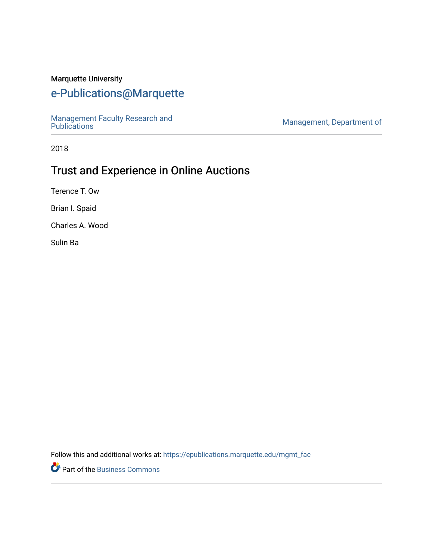#### Marquette University

# [e-Publications@Marquette](https://epublications.marquette.edu/)

[Management Faculty Research and](https://epublications.marquette.edu/mgmt_fac)  [Publications](https://epublications.marquette.edu/mgmt_fac) [Management, Department of](https://epublications.marquette.edu/mgmt) 

2018

# Trust and Experience in Online Auctions

Terence T. Ow

Brian I. Spaid

Charles A. Wood

Sulin Ba

Follow this and additional works at: [https://epublications.marquette.edu/mgmt\\_fac](https://epublications.marquette.edu/mgmt_fac?utm_source=epublications.marquette.edu%2Fmgmt_fac%2F331&utm_medium=PDF&utm_campaign=PDFCoverPages) 

Part of the [Business Commons](http://network.bepress.com/hgg/discipline/622?utm_source=epublications.marquette.edu%2Fmgmt_fac%2F331&utm_medium=PDF&utm_campaign=PDFCoverPages)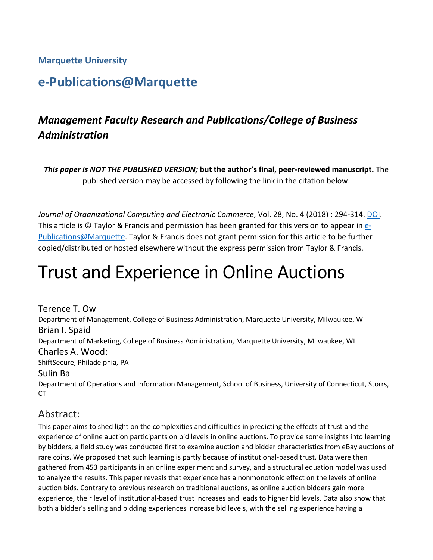### **Marquette University**

# **e-Publications@Marquette**

# *Management Faculty Research and Publications/College of Business Administration*

*This paper is NOT THE PUBLISHED VERSION;* **but the author's final, peer-reviewed manuscript.** The published version may be accessed by following the link in the citation below.

*Journal of Organizational Computing and Electronic Commerce*, Vol. 28, No. 4 (2018) : 294-314. [DOI.](https://www.tandfonline.com/doi/abs/10.1080/10919392.2018.1517478?journalCode=hoce20) This article is © Taylor & Francis and permission has been granted for this version to appear in [e-](http://epublications.marquette.edu/)[Publications@Marquette.](http://epublications.marquette.edu/) Taylor & Francis does not grant permission for this article to be further copied/distributed or hosted elsewhere without the express permission from Taylor & Francis.

# Trust and Experience in Online Auctions

Terence T. Ow Department of Management, College of Business Administration, Marquette University, Milwaukee, WI Brian I. Spaid Department of Marketing, College of Business Administration, Marquette University, Milwaukee, WI Charles A. Wood: ShiftSecure, Philadelphia, PA Sulin Ba Department of Operations and Information Management, School of Business, University of Connecticut, Storrs, CT

## Abstract:

This paper aims to shed light on the complexities and difficulties in predicting the effects of trust and the experience of online auction participants on bid levels in online auctions. To provide some insights into learning by bidders, a field study was conducted first to examine auction and bidder characteristics from eBay auctions of rare coins. We proposed that such learning is partly because of institutional-based trust. Data were then gathered from 453 participants in an online experiment and survey, and a structural equation model was used to analyze the results. This paper reveals that experience has a nonmonotonic effect on the levels of online auction bids. Contrary to previous research on traditional auctions, as online auction bidders gain more experience, their level of institutional-based trust increases and leads to higher bid levels. Data also show that both a bidder's selling and bidding experiences increase bid levels, with the selling experience having a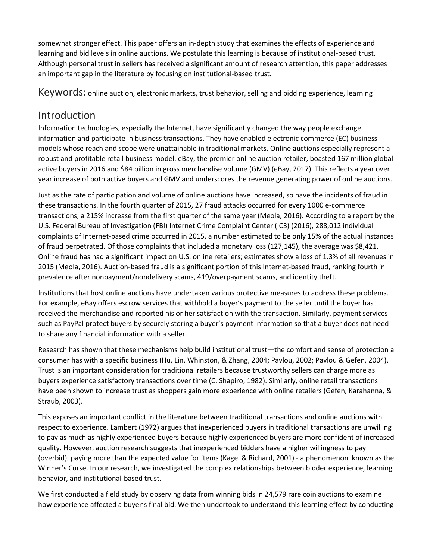somewhat stronger effect. This paper offers an in-depth study that examines the effects of experience and learning and bid levels in online auctions. We postulate this learning is because of institutional-based trust. Although personal trust in sellers has received a significant amount of research attention, this paper addresses an important gap in the literature by focusing on institutional-based trust.

Keywords: online auction, electronic markets, trust behavior, selling and bidding experience, learning

# Introduction

Information technologies, especially the Internet, have significantly changed the way people exchange information and participate in business transactions. They have enabled electronic commerce (EC) business models whose reach and scope were unattainable in traditional markets. Online auctions especially represent a robust and profitable retail business model. eBay, the premier online auction retailer, boasted 167 million global active buyers in 2016 and \$84 billion in gross merchandise volume (GMV) (eBay, 2017). This reflects a year over year increase of both active buyers and GMV and underscores the revenue generating power of online auctions.

Just as the rate of participation and volume of online auctions have increased, so have the incidents of fraud in these transactions. In the fourth quarter of 2015, 27 fraud attacks occurred for every 1000 e-commerce transactions, a 215% increase from the first quarter of the same year (Meola, 2016). According to a report by the U.S. Federal Bureau of Investigation (FBI) Internet Crime Complaint Center (IC3) (2016), 288,012 individual complaints of Internet-based crime occurred in 2015, a number estimated to be only 15% of the actual instances of fraud perpetrated. Of those complaints that included a monetary loss (127,145), the average was \$8,421. Online fraud has had a significant impact on U.S. online retailers; estimates show a loss of 1.3% of all revenues in 2015 (Meola, 2016). Auction-based fraud is a significant portion of this Internet-based fraud, ranking fourth in prevalence after nonpayment/nondelivery scams, 419/overpayment scams, and identity theft.

Institutions that host online auctions have undertaken various protective measures to address these problems. For example, eBay offers escrow services that withhold a buyer's payment to the seller until the buyer has received the merchandise and reported his or her satisfaction with the transaction. Similarly, payment services such as PayPal protect buyers by securely storing a buyer's payment information so that a buyer does not need to share any financial information with a seller.

Research has shown that these mechanisms help build institutional trust—the comfort and sense of protection a consumer has with a specific business (Hu, Lin, Whinston, & Zhang, 2004; Pavlou, 2002; Pavlou & Gefen, 2004). Trust is an important consideration for traditional retailers because trustworthy sellers can charge more as buyers experience satisfactory transactions over time (C. Shapiro, 1982). Similarly, online retail transactions have been shown to increase trust as shoppers gain more experience with online retailers (Gefen, Karahanna, & Straub, 2003).

This exposes an important conflict in the literature between traditional transactions and online auctions with respect to experience. Lambert (1972) argues that inexperienced buyers in traditional transactions are unwilling to pay as much as highly experienced buyers because highly experienced buyers are more confident of increased quality. However, auction research suggests that inexperienced bidders have a higher willingness to pay (overbid), paying more than the expected value for items (Kagel & Richard, 2001) - a phenomenon known as the Winner's Curse. In our research, we investigated the complex relationships between bidder experience, learning behavior, and institutional-based trust.

We first conducted a field study by observing data from winning bids in 24,579 rare coin auctions to examine how experience affected a buyer's final bid. We then undertook to understand this learning effect by conducting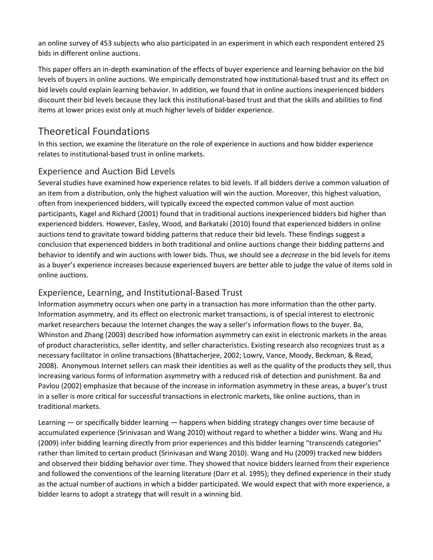an online survey of 453 subjects who also participated in an experiment in which each respondent entered 25 bids in different online auctions.

This paper offers an in-depth examination of the effects of buyer experience and learning behavior on the bid levels of buyers in online auctions. We empirically demonstrated how institutional-based trust and its effect on bid levels could explain learning behavior. In addition, we found that in online auctions inexperienced bidders discount their bid levels because they lack this institutional-based trust and that the skills and abilities to find items at lower prices exist only at much higher levels of bidder experience.

# Theoretical Foundations

In this section, we examine the literature on the role of experience in auctions and how bidder experience relates to institutional-based trust in online markets.

## Experience and Auction Bid Levels

Several studies have examined how experience relates to bid levels. If all bidders derive a common valuation of an item from a distribution, only the highest valuation will win the auction. Moreover, this highest valuation, often from inexperienced bidders, will typically exceed the expected common value of most auction participants, Kagel and Richard (2001) found that in traditional auctions inexperienced bidders bid higher than experienced bidders. However, Easley, Wood, and Barkataki (2010) found that experienced bidders in online auctions tend to gravitate toward bidding patterns that reduce their bid levels. These findings suggest a conclusion that experienced bidders in both traditional and online auctions change their bidding patterns and behavior to identify and win auctions with lower bids. Thus, we should see a *decrease* in the bid levels for items as a buyer's experience increases because experienced buyers are better able to judge the value of items sold in online auctions.

## Experience, Learning, and Institutional-Based Trust

Information asymmetry occurs when one party in a transaction has more information than the other party. Information asymmetry, and its effect on electronic market transactions, is of special interest to electronic market researchers because the Internet changes the way a seller's information flows to the buyer. Ba, Whinston and Zhang (2003) described how information asymmetry can exist in electronic markets in the areas of product characteristics, seller identity, and seller characteristics. Existing research also recognizes trust as a necessary facilitator in online transactions (Bhattacherjee, 2002; Lowry, Vance, Moody, Beckman, & Read, 2008). Anonymous Internet sellers can mask their identities as well as the quality of the products they sell, thus increasing various forms of information asymmetry with a reduced risk of detection and punishment. Ba and Pavlou (2002) emphasize that because of the increase in information asymmetry in these areas, a buyer's trust in a seller is more critical for successful transactions in electronic markets, like online auctions, than in traditional markets.

Learning — or specifically bidder learning — happens when bidding strategy changes over time because of accumulated experience (Srinivasan and Wang 2010) without regard to whether a bidder wins. Wang and Hu (2009) infer bidding learning directly from prior experiences and this bidder learning "transcends categories" rather than limited to certain product (Srinivasan and Wang 2010). Wang and Hu (2009) tracked new bidders and observed their bidding behavior over time. They showed that novice bidders learned from their experience and followed the conventions of the learning literature (Darr et al. 1995); they defined experience in their study as the actual number of auctions in which a bidder participated. We would expect that with more experience, a bidder learns to adopt a strategy that will result in a winning bid.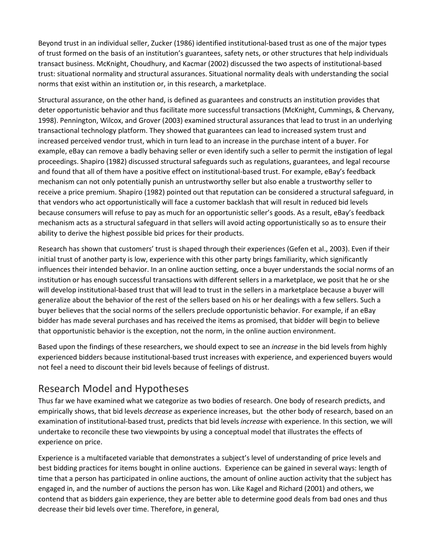Beyond trust in an individual seller, Zucker (1986) identified institutional-based trust as one of the major types of trust formed on the basis of an institution's guarantees, safety nets, or other structures that help individuals transact business. McKnight, Choudhury, and Kacmar (2002) discussed the two aspects of institutional-based trust: situational normality and structural assurances. Situational normality deals with understanding the social norms that exist within an institution or, in this research, a marketplace.

Structural assurance, on the other hand, is defined as guarantees and constructs an institution provides that deter opportunistic behavior and thus facilitate more successful transactions (McKnight, Cummings, & Chervany, 1998). Pennington, Wilcox, and Grover (2003) examined structural assurances that lead to trust in an underlying transactional technology platform. They showed that guarantees can lead to increased system trust and increased perceived vendor trust, which in turn lead to an increase in the purchase intent of a buyer. For example, eBay can remove a badly behaving seller or even identify such a seller to permit the instigation of legal proceedings. Shapiro (1982) discussed structural safeguards such as regulations, guarantees, and legal recourse and found that all of them have a positive effect on institutional-based trust. For example, eBay's feedback mechanism can not only potentially punish an untrustworthy seller but also enable a trustworthy seller to receive a price premium. Shapiro (1982) pointed out that reputation can be considered a structural safeguard, in that vendors who act opportunistically will face a customer backlash that will result in reduced bid levels because consumers will refuse to pay as much for an opportunistic seller's goods. As a result, eBay's feedback mechanism acts as a structural safeguard in that sellers will avoid acting opportunistically so as to ensure their ability to derive the highest possible bid prices for their products.

Research has shown that customers' trust is shaped through their experiences (Gefen et al., 2003). Even if their initial trust of another party is low, experience with this other party brings familiarity, which significantly influences their intended behavior. In an online auction setting, once a buyer understands the social norms of an institution or has enough successful transactions with different sellers in a marketplace, we posit that he or she will develop institutional-based trust that will lead to trust in the sellers in a marketplace because a buyer will generalize about the behavior of the rest of the sellers based on his or her dealings with a few sellers. Such a buyer believes that the social norms of the sellers preclude opportunistic behavior. For example, if an eBay bidder has made several purchases and has received the items as promised, that bidder will begin to believe that opportunistic behavior is the exception, not the norm, in the online auction environment.

Based upon the findings of these researchers, we should expect to see an *increase* in the bid levels from highly experienced bidders because institutional-based trust increases with experience, and experienced buyers would not feel a need to discount their bid levels because of feelings of distrust.

# Research Model and Hypotheses

Thus far we have examined what we categorize as two bodies of research. One body of research predicts, and empirically shows, that bid levels *decrease* as experience increases, but the other body of research, based on an examination of institutional-based trust, predicts that bid levels *increase* with experience. In this section, we will undertake to reconcile these two viewpoints by using a conceptual model that illustrates the effects of experience on price.

Experience is a multifaceted variable that demonstrates a subject's level of understanding of price levels and best bidding practices for items bought in online auctions. Experience can be gained in several ways: length of time that a person has participated in online auctions, the amount of online auction activity that the subject has engaged in, and the number of auctions the person has won. Like Kagel and Richard (2001) and others, we contend that as bidders gain experience, they are better able to determine good deals from bad ones and thus decrease their bid levels over time. Therefore, in general,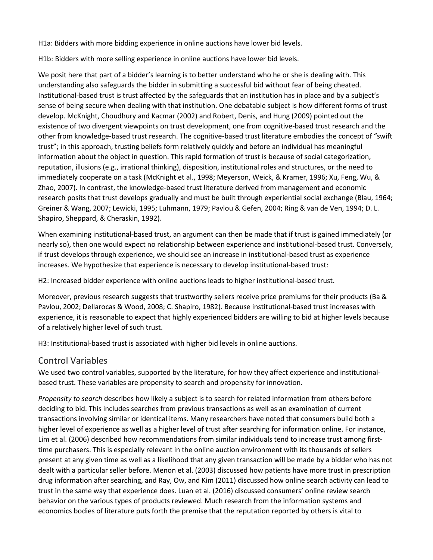H1a: Bidders with more bidding experience in online auctions have lower bid levels.

H1b: Bidders with more selling experience in online auctions have lower bid levels.

We posit here that part of a bidder's learning is to better understand who he or she is dealing with. This understanding also safeguards the bidder in submitting a successful bid without fear of being cheated. Institutional-based trust is trust affected by the safeguards that an institution has in place and by a subject's sense of being secure when dealing with that institution. One debatable subject is how different forms of trust develop. McKnight, Choudhury and Kacmar (2002) and Robert, Denis, and Hung (2009) pointed out the existence of two divergent viewpoints on trust development, one from cognitive-based trust research and the other from knowledge-based trust research. The cognitive-based trust literature embodies the concept of "swift trust"; in this approach, trusting beliefs form relatively quickly and before an individual has meaningful information about the object in question. This rapid formation of trust is because of social categorization, reputation, illusions (e.g., irrational thinking), disposition, institutional roles and structures, or the need to immediately cooperate on a task (McKnight et al., 1998; Meyerson, Weick, & Kramer, 1996; Xu, Feng, Wu, & Zhao, 2007). In contrast, the knowledge-based trust literature derived from management and economic research posits that trust develops gradually and must be built through experiential social exchange (Blau, 1964; Greiner & Wang, 2007; Lewicki, 1995; Luhmann, 1979; Pavlou & Gefen, 2004; Ring & van de Ven, 1994; D. L. Shapiro, Sheppard, & Cheraskin, 1992).

When examining institutional-based trust, an argument can then be made that if trust is gained immediately (or nearly so), then one would expect no relationship between experience and institutional-based trust. Conversely, if trust develops through experience, we should see an increase in institutional-based trust as experience increases. We hypothesize that experience is necessary to develop institutional-based trust:

H2: Increased bidder experience with online auctions leads to higher institutional-based trust.

Moreover, previous research suggests that trustworthy sellers receive price premiums for their products (Ba & Pavlou, 2002; Dellarocas & Wood, 2008; C. Shapiro, 1982). Because institutional-based trust increases with experience, it is reasonable to expect that highly experienced bidders are willing to bid at higher levels because of a relatively higher level of such trust.

H3: Institutional-based trust is associated with higher bid levels in online auctions.

#### Control Variables

We used two control variables, supported by the literature, for how they affect experience and institutionalbased trust. These variables are propensity to search and propensity for innovation.

*Propensity to search* describes how likely a subject is to search for related information from others before deciding to bid. This includes searches from previous transactions as well as an examination of current transactions involving similar or identical items. Many researchers have noted that consumers build both a higher level of experience as well as a higher level of trust after searching for information online. For instance, Lim et al. (2006) described how recommendations from similar individuals tend to increase trust among firsttime purchasers. This is especially relevant in the online auction environment with its thousands of sellers present at any given time as well as a likelihood that any given transaction will be made by a bidder who has not dealt with a particular seller before. Menon et al. (2003) discussed how patients have more trust in prescription drug information after searching, and Ray, Ow, and Kim (2011) discussed how online search activity can lead to trust in the same way that experience does. Luan et al. (2016) discussed consumers' online review search behavior on the various types of products reviewed. Much research from the information systems and economics bodies of literature puts forth the premise that the reputation reported by others is vital to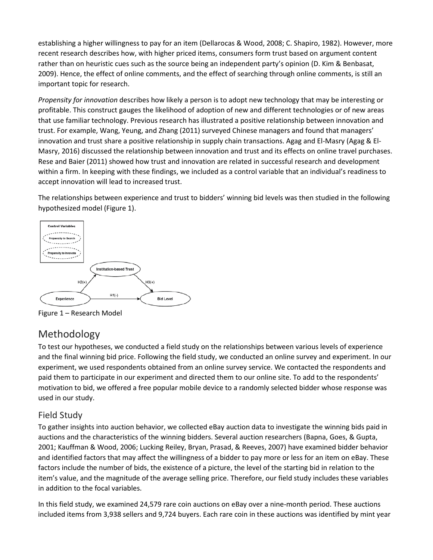establishing a higher willingness to pay for an item (Dellarocas & Wood, 2008; C. Shapiro, 1982). However, more recent research describes how, with higher priced items, consumers form trust based on argument content rather than on heuristic cues such as the source being an independent party's opinion (D. Kim & Benbasat, 2009). Hence, the effect of online comments, and the effect of searching through online comments, is still an important topic for research.

*Propensity for innovation* describes how likely a person is to adopt new technology that may be interesting or profitable. This construct gauges the likelihood of adoption of new and different technologies or of new areas that use familiar technology. Previous research has illustrated a positive relationship between innovation and trust. For example, Wang, Yeung, and Zhang (2011) surveyed Chinese managers and found that managers' innovation and trust share a positive relationship in supply chain transactions. Agag and El-Masry (Agag & El-Masry, 2016) discussed the relationship between innovation and trust and its effects on online travel purchases. Rese and Baier (2011) showed how trust and innovation are related in successful research and development within a firm. In keeping with these findings, we included as a control variable that an individual's readiness to accept innovation will lead to increased trust.

The relationships between experience and trust to bidders' winning bid levels was then studied in the following hypothesized model (Figure 1).



Figure 1 – Research Model

# Methodology

To test our hypotheses, we conducted a field study on the relationships between various levels of experience and the final winning bid price. Following the field study, we conducted an online survey and experiment. In our experiment, we used respondents obtained from an online survey service. We contacted the respondents and paid them to participate in our experiment and directed them to our online site. To add to the respondents' motivation to bid, we offered a free popular mobile device to a randomly selected bidder whose response was used in our study.

## Field Study

To gather insights into auction behavior, we collected eBay auction data to investigate the winning bids paid in auctions and the characteristics of the winning bidders. Several auction researchers (Bapna, Goes, & Gupta, 2001; Kauffman & Wood, 2006; Lucking Reiley, Bryan, Prasad, & Reeves, 2007) have examined bidder behavior and identified factors that may affect the willingness of a bidder to pay more or less for an item on eBay. These factors include the number of bids, the existence of a picture, the level of the starting bid in relation to the item's value, and the magnitude of the average selling price. Therefore, our field study includes these variables in addition to the focal variables.

In this field study, we examined 24,579 rare coin auctions on eBay over a nine-month period. These auctions included items from 3,938 sellers and 9,724 buyers. Each rare coin in these auctions was identified by mint year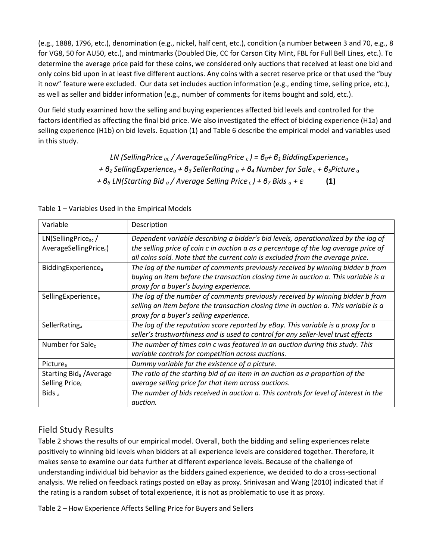(e.g., 1888, 1796, etc.), denomination (e.g., nickel, half cent, etc.), condition (a number between 3 and 70, e.g., 8 for VG8, 50 for AU50, etc.), and mintmarks (Doubled Die, CC for Carson City Mint, FBL for Full Bell Lines, etc.). To determine the average price paid for these coins, we considered only auctions that received at least one bid and only coins bid upon in at least five different auctions. Any coins with a secret reserve price or that used the "buy it now" feature were excluded. Our data set includes auction information (e.g., ending time, selling price, etc.), as well as seller and bidder information (e.g., number of comments for items bought and sold, etc.).

Our field study examined how the selling and buying experiences affected bid levels and controlled for the factors identified as affecting the final bid price. We also investigated the effect of bidding experience (H1a) and selling experience (H1b) on bid levels. Equation (1) and Table 6 describe the empirical model and variables used in this study.

> *LN (SellingPrice ac / AverageSellingPrice c ) = β0+ β1 BiddingExperiencea + β2 SellingExperiencea + β3 SellerRating a + β<sup>4</sup> Number for Sale <sup>c</sup> + β5Picture <sup>a</sup> + β<sup>6</sup> LN(Starting Bid a / Average Selling Price c ) + β<sup>7</sup> Bids a + ε* **(1)**

| Variable                              | Description                                                                          |
|---------------------------------------|--------------------------------------------------------------------------------------|
| LN(SellingPriceac/                    | Dependent variable describing a bidder's bid levels, operationalized by the log of   |
| AverageSellingPrice <sub>c</sub> )    | the selling price of coin c in auction a as a percentage of the log average price of |
|                                       | all coins sold. Note that the current coin is excluded from the average price.       |
| <b>BiddingExperience</b> <sub>a</sub> | The log of the number of comments previously received by winning bidder b from       |
|                                       | buying an item before the transaction closing time in auction a. This variable is a  |
|                                       | proxy for a buyer's buying experience.                                               |
| SellingExperience <sub>a</sub>        | The log of the number of comments previously received by winning bidder b from       |
|                                       | selling an item before the transaction closing time in auction a. This variable is a |
|                                       | proxy for a buyer's selling experience.                                              |
| <b>SellerRating</b> <sub>a</sub>      | The log of the reputation score reported by eBay. This variable is a proxy for a     |
|                                       | seller's trustworthiness and is used to control for any seller-level trust effects   |
| Number for Sale <sub>c</sub>          | The number of times coin c was featured in an auction during this study. This        |
|                                       | variable controls for competition across auctions.                                   |
| Picture <sub>a</sub>                  | Dummy variable for the existence of a picture.                                       |
| Starting Bid <sub>a</sub> / Average   | The ratio of the starting bid of an item in an auction as a proportion of the        |
| Selling Price <sub>c</sub>            | average selling price for that item across auctions.                                 |
| Bids a                                | The number of bids received in auction a. This controls for level of interest in the |
|                                       | auction.                                                                             |

Table 1 – Variables Used in the Empirical Models

#### Field Study Results

Table 2 shows the results of our empirical model. Overall, both the bidding and selling experiences relate positively to winning bid levels when bidders at all experience levels are considered together. Therefore, it makes sense to examine our data further at different experience levels. Because of the challenge of understanding individual bid behavior as the bidders gained experience, we decided to do a cross-sectional analysis. We relied on feedback ratings posted on eBay as proxy. Srinivasan and Wang (2010) indicated that if the rating is a random subset of total experience, it is not as problematic to use it as proxy.

Table 2 – How Experience Affects Selling Price for Buyers and Sellers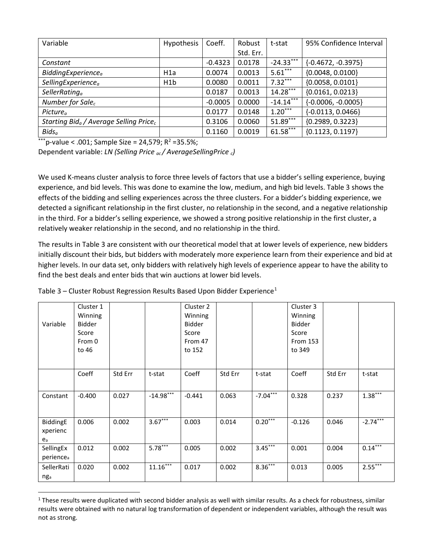| Variable                                                       | Hypothesis       | Coeff.    | Robust    | t-stat      | 95% Confidence Interval |
|----------------------------------------------------------------|------------------|-----------|-----------|-------------|-------------------------|
|                                                                |                  |           | Std. Err. |             |                         |
| Constant                                                       |                  | $-0.4323$ | 0.0178    | $-24.33***$ | $\{-0.4672, -0.3975\}$  |
| BiddingExperience <sub>a</sub>                                 | H1a              | 0.0074    | 0.0013    | $5.61***$   | ${0.0048, 0.0100}$      |
| SellingExperience <sub>a</sub>                                 | H <sub>1</sub> b | 0.0080    | 0.0011    | $7.32***$   | ${0.0058, 0.0101}$      |
| SellerRating <sub>a</sub>                                      |                  | 0.0187    | 0.0013    | $14.28***$  | ${0.0161, 0.0213}$      |
| Number for Sale $c$                                            |                  | $-0.0005$ | 0.0000    | $-14.14***$ | $\{-0.0006, -0.0005\}$  |
| Picture <sub>a</sub>                                           |                  | 0.0177    | 0.0148    | $1.20***$   | $\{-0.0113, 0.0466\}$   |
| Starting Bid <sub>a</sub> / Average Selling Price <sub>c</sub> |                  | 0.3106    | 0.0060    | 51.89***    | ${0.2989, 0.3223}$      |
| Bids <sub>a</sub>                                              |                  | 0.1160    | 0.0019    | $61.58***$  | ${0.1123, 0.1197}$      |

\*\*\*p-value < .001; Sample Size = 24,579;  $R^2$  =35.5%;

Dependent variable: *LN (Selling Price ac / AverageSellingPrice c)*

We used K-means cluster analysis to force three levels of factors that use a bidder's selling experience, buying experience, and bid levels. This was done to examine the low, medium, and high bid levels. Table 3 shows the effects of the bidding and selling experiences across the three clusters. For a bidder's bidding experience, we detected a significant relationship in the first cluster, no relationship in the second, and a negative relationship in the third. For a bidder's selling experience, we showed a strong positive relationship in the first cluster, a relatively weaker relationship in the second, and no relationship in the third.

The results in Table 3 are consistent with our theoretical model that at lower levels of experience, new bidders initially discount their bids, but bidders with moderately more experience learn from their experience and bid at higher levels. In our data set, only bidders with relatively high levels of experience appear to have the ability to find the best deals and enter bids that win auctions at lower bid levels.

| Variable                           | Cluster 1<br>Winning<br><b>Bidder</b><br>Score<br>From 0<br>to 46 |         |             | Cluster 2<br>Winning<br><b>Bidder</b><br>Score<br>From 47<br>to 152 |         |            | Cluster 3<br>Winning<br><b>Bidder</b><br>Score<br><b>From 153</b><br>to 349 |         |                       |
|------------------------------------|-------------------------------------------------------------------|---------|-------------|---------------------------------------------------------------------|---------|------------|-----------------------------------------------------------------------------|---------|-----------------------|
|                                    | Coeff                                                             | Std Err | t-stat      | Coeff                                                               | Std Err | t-stat     | Coeff                                                                       | Std Err | t-stat                |
| Constant                           | $-0.400$                                                          | 0.027   | $-14.98***$ | $-0.441$                                                            | 0.063   | $-7.04***$ | 0.328                                                                       | 0.237   | $1.38***$             |
| BiddingE<br>xperienc<br>$e_a$      | 0.006                                                             | 0.002   | $3.67***$   | 0.003                                                               | 0.014   | $0.20***$  | $-0.126$                                                                    | 0.046   | $-2.74***$            |
| SellingEx<br>perience <sub>a</sub> | 0.012                                                             | 0.002   | $5.78***$   | 0.005                                                               | 0.002   | $3.45***$  | 0.001                                                                       | 0.004   | $0.14$ <sup>***</sup> |
| SellerRati<br>nga                  | 0.020                                                             | 0.002   | $11.16***$  | 0.017                                                               | 0.002   | $8.36***$  | 0.013                                                                       | 0.005   | $2.55***$             |

Table 3 – Cluster Robust Regression Results Based Upon Bidder Experience<sup>[1](#page-8-0)</sup>

<span id="page-8-0"></span> $1$  These results were duplicated with second bidder analysis as well with similar results. As a check for robustness, similar results were obtained with no natural log transformation of dependent or independent variables, although the result was not as strong.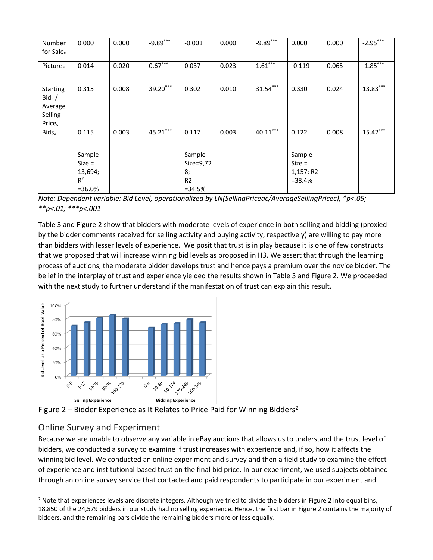| Number                                                       | 0.000     | 0.000 | $-9.89***$ | $-0.001$       | 0.000 | $-9.89***$ | 0.000     | 0.000 | $-2.95***$ |
|--------------------------------------------------------------|-----------|-------|------------|----------------|-------|------------|-----------|-------|------------|
| for Sale <sub>c</sub>                                        |           |       |            |                |       |            |           |       |            |
| Picture <sub>a</sub>                                         | 0.014     | 0.020 | $0.67***$  | 0.037          | 0.023 | $1.61***$  | $-0.119$  | 0.065 | $-1.85***$ |
|                                                              |           |       |            |                |       |            |           |       |            |
| <b>Starting</b><br>$Bid_a /$<br>Average<br>Selling<br>Pricec | 0.315     | 0.008 | 39.20***   | 0.302          | 0.010 | $31.54***$ | 0.330     | 0.024 | $13.83***$ |
| Bidsa                                                        | 0.115     | 0.003 | 45.21***   | 0.117          | 0.003 | $40.11***$ | 0.122     | 0.008 | $15.42***$ |
|                                                              | Sample    |       |            | Sample         |       |            | Sample    |       |            |
|                                                              | $Size =$  |       |            | Size=9,72      |       |            | $Size =$  |       |            |
|                                                              | 13,694;   |       |            | 8;             |       |            | 1,157; R2 |       |            |
|                                                              | $R^2$     |       |            | R <sub>2</sub> |       |            | $= 38.4%$ |       |            |
|                                                              | $= 36.0%$ |       |            | $= 34.5%$      |       |            |           |       |            |

*Note: Dependent variable: Bid Level, operationalized by LN(SellingPriceac/AverageSellingPricec), \*p<.05; \*\*p<.01; \*\*\*p<.001*

Table 3 and Figure 2 show that bidders with moderate levels of experience in both selling and bidding (proxied by the bidder comments received for selling activity and buying activity, respectively) are willing to pay more than bidders with lesser levels of experience. We posit that trust is in play because it is one of few constructs that we proposed that will increase winning bid levels as proposed in H3. We assert that through the learning process of auctions, the moderate bidder develops trust and hence pays a premium over the novice bidder. The belief in the interplay of trust and experience yielded the results shown in Table 3 and Figure 2. We proceeded with the next study to further understand if the manifestation of trust can explain this result.



Figure 2 – Bidder Experience as It Relates to Price Paid for Winning Bidders[2](#page-9-0)

## Online Survey and Experiment

Because we are unable to observe any variable in eBay auctions that allows us to understand the trust level of bidders, we conducted a survey to examine if trust increases with experience and, if so, how it affects the winning bid level. We conducted an online experiment and survey and then a field study to examine the effect of experience and institutional-based trust on the final bid price. In our experiment, we used subjects obtained through an online survey service that contacted and paid respondents to participate in our experiment and

<span id="page-9-0"></span> $2$  Note that experiences levels are discrete integers. Although we tried to divide the bidders in Figure 2 into equal bins, 18,850 of the 24,579 bidders in our study had no selling experience. Hence, the first bar in Figure 2 contains the majority of bidders, and the remaining bars divide the remaining bidders more or less equally.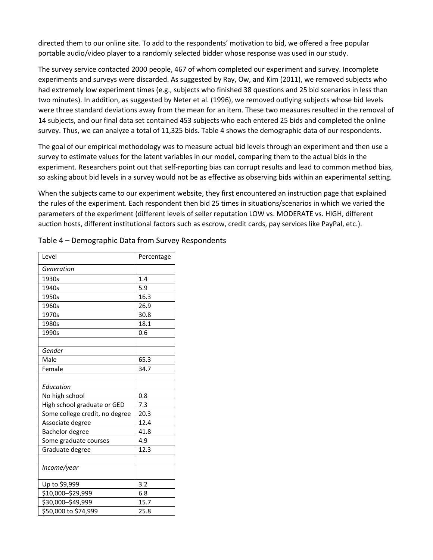directed them to our online site. To add to the respondents' motivation to bid, we offered a free popular portable audio/video player to a randomly selected bidder whose response was used in our study.

The survey service contacted 2000 people, 467 of whom completed our experiment and survey. Incomplete experiments and surveys were discarded. As suggested by Ray, Ow, and Kim (2011), we removed subjects who had extremely low experiment times (e.g., subjects who finished 38 questions and 25 bid scenarios in less than two minutes). In addition, as suggested by Neter et al. (1996), we removed outlying subjects whose bid levels were three standard deviations away from the mean for an item. These two measures resulted in the removal of 14 subjects, and our final data set contained 453 subjects who each entered 25 bids and completed the online survey. Thus, we can analyze a total of 11,325 bids. Table 4 shows the demographic data of our respondents.

The goal of our empirical methodology was to measure actual bid levels through an experiment and then use a survey to estimate values for the latent variables in our model, comparing them to the actual bids in the experiment. Researchers point out that self-reporting bias can corrupt results and lead to common method bias, so asking about bid levels in a survey would not be as effective as observing bids within an experimental setting.

When the subjects came to our experiment website, they first encountered an instruction page that explained the rules of the experiment. Each respondent then bid 25 times in situations/scenarios in which we varied the parameters of the experiment (different levels of seller reputation LOW vs. MODERATE vs. HIGH, different auction hosts, different institutional factors such as escrow, credit cards, pay services like PayPal, etc.).

| Level                          | Percentage |
|--------------------------------|------------|
| Generation                     |            |
| 1930s                          | 1.4        |
| 1940s                          | 5.9        |
| 1950s                          | 16.3       |
| 1960s                          | 26.9       |
| 1970s                          | 30.8       |
| 1980s                          | 18.1       |
| 1990s                          | 0.6        |
|                                |            |
| Gender                         |            |
| Male                           | 65.3       |
| Female                         | 34.7       |
|                                |            |
| Education                      |            |
| No high school                 | 0.8        |
| High school graduate or GED    | 7.3        |
| Some college credit, no degree | 20.3       |
| Associate degree               | 12.4       |
| Bachelor degree                | 41.8       |
| Some graduate courses          | 4.9        |
| Graduate degree                | 12.3       |
|                                |            |
| Income/year                    |            |
| Up to \$9,999                  | 3.2        |
| \$10,000-\$29,999              | 6.8        |
| \$30,000-\$49,999              | 15.7       |
| \$50,000 to \$74,999           | 25.8       |

Table 4 – Demographic Data from Survey Respondents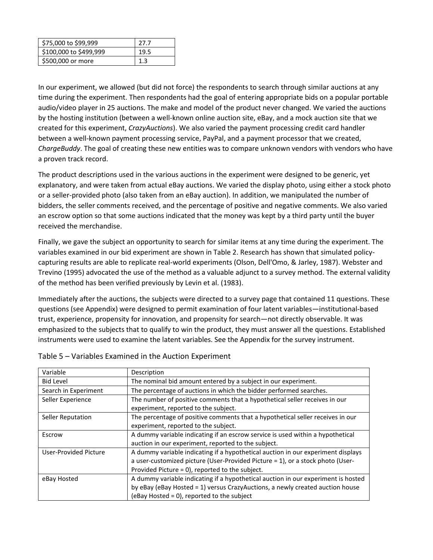| \$75,000 to \$99,999   | 27.7 |
|------------------------|------|
| \$100,000 to \$499,999 | 19.5 |
| \$500,000 or more      | 1.3  |

In our experiment, we allowed (but did not force) the respondents to search through similar auctions at any time during the experiment. Then respondents had the goal of entering appropriate bids on a popular portable audio/video player in 25 auctions. The make and model of the product never changed. We varied the auctions by the hosting institution (between a well-known online auction site, eBay, and a mock auction site that we created for this experiment, *CrazyAuctions*). We also varied the payment processing credit card handler between a well-known payment processing service, PayPal, and a payment processor that we created, *ChargeBuddy*. The goal of creating these new entities was to compare unknown vendors with vendors who have a proven track record.

The product descriptions used in the various auctions in the experiment were designed to be generic, yet explanatory, and were taken from actual eBay auctions. We varied the display photo, using either a stock photo or a seller-provided photo (also taken from an eBay auction). In addition, we manipulated the number of bidders, the seller comments received, and the percentage of positive and negative comments. We also varied an escrow option so that some auctions indicated that the money was kept by a third party until the buyer received the merchandise.

Finally, we gave the subject an opportunity to search for similar items at any time during the experiment. The variables examined in our bid experiment are shown in Table 2. Research has shown that simulated policycapturing results are able to replicate real-world experiments (Olson, Dell'Omo, & Jarley, 1987). Webster and Trevino (1995) advocated the use of the method as a valuable adjunct to a survey method. The external validity of the method has been verified previously by Levin et al. (1983).

Immediately after the auctions, the subjects were directed to a survey page that contained 11 questions. These questions (see Appendix) were designed to permit examination of four latent variables—institutional-based trust, experience, propensity for innovation, and propensity for search—not directly observable. It was emphasized to the subjects that to qualify to win the product, they must answer all the questions. Established instruments were used to examine the latent variables. See the Appendix for the survey instrument.

| Variable              | Description                                                                                                                                                                                                           |
|-----------------------|-----------------------------------------------------------------------------------------------------------------------------------------------------------------------------------------------------------------------|
| <b>Bid Level</b>      | The nominal bid amount entered by a subject in our experiment.                                                                                                                                                        |
| Search in Experiment  | The percentage of auctions in which the bidder performed searches.                                                                                                                                                    |
| Seller Experience     | The number of positive comments that a hypothetical seller receives in our<br>experiment, reported to the subject.                                                                                                    |
| Seller Reputation     | The percentage of positive comments that a hypothetical seller receives in our<br>experiment, reported to the subject.                                                                                                |
| Escrow                | A dummy variable indicating if an escrow service is used within a hypothetical<br>auction in our experiment, reported to the subject.                                                                                 |
| User-Provided Picture | A dummy variable indicating if a hypothetical auction in our experiment displays<br>a user-customized picture (User-Provided Picture = 1), or a stock photo (User-<br>Provided Picture = 0), reported to the subject. |
| eBay Hosted           | A dummy variable indicating if a hypothetical auction in our experiment is hosted<br>by eBay (eBay Hosted = 1) versus CrazyAuctions, a newly created auction house<br>(eBay Hosted = 0), reported to the subject      |

|  |  |  |  |  | Table 5 - Variables Examined in the Auction Experiment |
|--|--|--|--|--|--------------------------------------------------------|
|--|--|--|--|--|--------------------------------------------------------|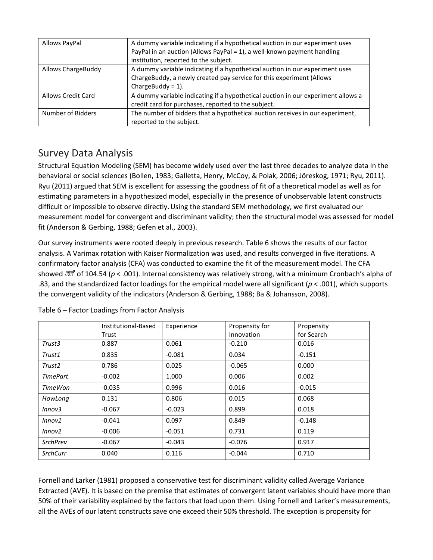| Allows PayPal      | A dummy variable indicating if a hypothetical auction in our experiment uses<br>PayPal in an auction (Allows PayPal = 1), a well-known payment handling<br>institution, reported to the subject. |
|--------------------|--------------------------------------------------------------------------------------------------------------------------------------------------------------------------------------------------|
| Allows ChargeBuddy | A dummy variable indicating if a hypothetical auction in our experiment uses<br>ChargeBuddy, a newly created pay service for this experiment (Allows<br>ChargeBuddy = $1$ ).                     |
| Allows Credit Card | A dummy variable indicating if a hypothetical auction in our experiment allows a<br>credit card for purchases, reported to the subject.                                                          |
| Number of Bidders  | The number of bidders that a hypothetical auction receives in our experiment,<br>reported to the subject.                                                                                        |

# Survey Data Analysis

Structural Equation Modeling (SEM) has become widely used over the last three decades to analyze data in the behavioral or social sciences (Bollen, 1983; Galletta, Henry, McCoy, & Polak, 2006; Jöreskog, 1971; Ryu, 2011). Ryu (2011) argued that SEM is excellent for assessing the goodness of fit of a theoretical model as well as for estimating parameters in a hypothesized model, especially in the presence of unobservable latent constructs difficult or impossible to observe directly. Using the standard SEM methodology, we first evaluated our measurement model for convergent and discriminant validity; then the structural model was assessed for model fit (Anderson & Gerbing, 1988; Gefen et al., 2003).

Our survey instruments were rooted deeply in previous research. Table 6 shows the results of our factor analysis. A Varimax rotation with Kaiser Normalization was used, and results converged in five iterations. A confirmatory factor analysis (CFA) was conducted to examine the fit of the measurement model. The CFA showed *22* of 104.54 (*p* < .001). Internal consistency was relatively strong, with a minimum Cronbach's alpha of .83, and the standardized factor loadings for the empirical model were all significant (*p* < .001), which supports the convergent validity of the indicators (Anderson & Gerbing, 1988; Ba & Johansson, 2008).

|                    | Institutional-Based | Experience | Propensity for | Propensity |
|--------------------|---------------------|------------|----------------|------------|
|                    | Trust               |            | Innovation     | for Search |
| Trust3             | 0.887               | 0.061      | $-0.210$       | 0.016      |
| Trust1             | 0.835               | $-0.081$   | 0.034          | $-0.151$   |
| Trust <sub>2</sub> | 0.786               | 0.025      | $-0.065$       | 0.000      |
| <b>TimePart</b>    | $-0.002$            | 1.000      | 0.006          | 0.002      |
| <b>TimeWon</b>     | $-0.035$            | 0.996      | 0.016          | $-0.015$   |
| HowLong            | 0.131               | 0.806      | 0.015          | 0.068      |
| Innov3             | $-0.067$            | $-0.023$   | 0.899          | 0.018      |
| Innov1             | $-0.041$            | 0.097      | 0.849          | $-0.148$   |
| Innov2             | $-0.006$            | $-0.051$   | 0.731          | 0.119      |
| SrchPrev           | $-0.067$            | $-0.043$   | $-0.076$       | 0.917      |
| <b>SrchCurr</b>    | 0.040               | 0.116      | $-0.044$       | 0.710      |

Table 6 – Factor Loadings from Factor Analysis

Fornell and Larker (1981) proposed a conservative test for discriminant validity called Average Variance Extracted (AVE). It is based on the premise that estimates of convergent latent variables should have more than 50% of their variability explained by the factors that load upon them. Using Fornell and Larker's measurements, all the AVEs of our latent constructs save one exceed their 50% threshold. The exception is propensity for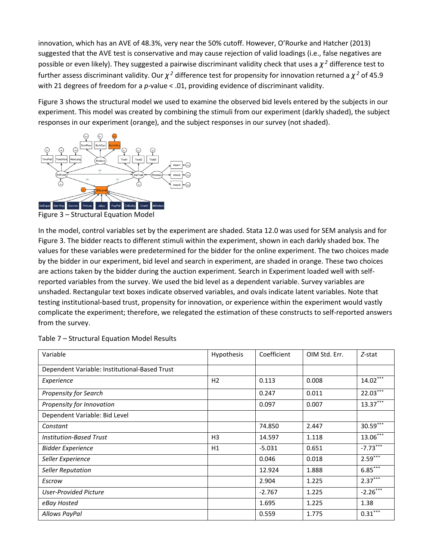innovation, which has an AVE of 48.3%, very near the 50% cutoff. However, O'Rourke and Hatcher (2013) suggested that the AVE test is conservative and may cause rejection of valid loadings (i.e., false negatives are possible or even likely). They suggested a pairwise discriminant validity check that uses a  $\chi^2$  difference test to further assess discriminant validity. Our  $\chi^2$  difference test for propensity for innovation returned a  $\chi^2$  of 45.9 with 21 degrees of freedom for a *p*-value < .01, providing evidence of discriminant validity.

Figure 3 shows the structural model we used to examine the observed bid levels entered by the subjects in our experiment. This model was created by combining the stimuli from our experiment (darkly shaded), the subject responses in our experiment (orange), and the subject responses in our survey (not shaded).



Figure 3 – Structural Equation Model

In the model, control variables set by the experiment are shaded. Stata 12.0 was used for SEM analysis and for Figure 3. The bidder reacts to different stimuli within the experiment, shown in each darkly shaded box. The values for these variables were predetermined for the bidder for the online experiment. The two choices made by the bidder in our experiment, bid level and search in experiment, are shaded in orange. These two choices are actions taken by the bidder during the auction experiment. Search in Experiment loaded well with selfreported variables from the survey. We used the bid level as a dependent variable. Survey variables are unshaded. Rectangular text boxes indicate observed variables, and ovals indicate latent variables. Note that testing institutional-based trust, propensity for innovation, or experience within the experiment would vastly complicate the experiment; therefore, we relegated the estimation of these constructs to self-reported answers from the survey.

| Variable                                      | <b>Hypothesis</b> | Coefficient | OIM Std. Err. | Z-stat     |
|-----------------------------------------------|-------------------|-------------|---------------|------------|
| Dependent Variable: Institutional-Based Trust |                   |             |               |            |
| Experience                                    | H <sub>2</sub>    | 0.113       | 0.008         | $14.02***$ |
| Propensity for Search                         |                   | 0.247       | 0.011         | $22.03***$ |
| Propensity for Innovation                     |                   | 0.097       | 0.007         | $13.37***$ |
| Dependent Variable: Bid Level                 |                   |             |               |            |
| Constant                                      |                   | 74.850      | 2.447         | $30.59***$ |
| <b>Institution-Based Trust</b>                | H <sub>3</sub>    | 14.597      | 1.118         | $13.06***$ |
| <b>Bidder Experience</b>                      | H1                | $-5.031$    | 0.651         | $-7.73***$ |
| Seller Experience                             |                   | 0.046       | 0.018         | $2.59***$  |
| <b>Seller Reputation</b>                      |                   | 12.924      | 1.888         | $6.85***$  |
| Escrow                                        |                   | 2.904       | 1.225         | $2.37***$  |
| <b>User-Provided Picture</b>                  |                   | $-2.767$    | 1.225         | $-2.26***$ |
| eBay Hosted                                   |                   | 1.695       | 1.225         | 1.38       |
| Allows PayPal                                 |                   | 0.559       | 1.775         | $0.31***$  |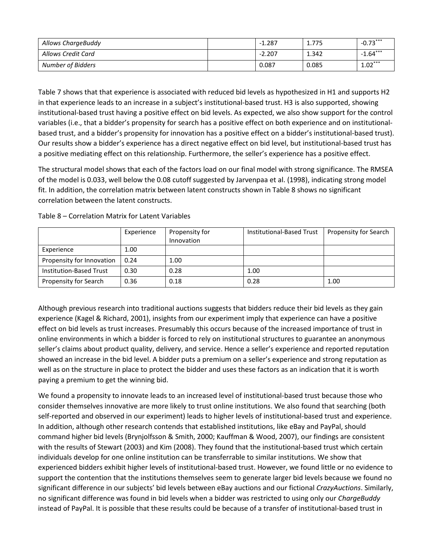| Allows ChargeBuddy       | $-1.287$ | 1.775 | $-0.73***$ |
|--------------------------|----------|-------|------------|
| Allows Credit Card       | $-2.207$ | 1.342 | $-1.64***$ |
| <b>Number of Bidders</b> | 0.087    | 0.085 | $1.02***$  |

Table 7 shows that that experience is associated with reduced bid levels as hypothesized in H1 and supports H2 in that experience leads to an increase in a subject's institutional-based trust. H3 is also supported, showing institutional-based trust having a positive effect on bid levels. As expected, we also show support for the control variables (i.e., that a bidder's propensity for search has a positive effect on both experience and on institutionalbased trust, and a bidder's propensity for innovation has a positive effect on a bidder's institutional-based trust). Our results show a bidder's experience has a direct negative effect on bid level, but institutional-based trust has a positive mediating effect on this relationship. Furthermore, the seller's experience has a positive effect.

The structural model shows that each of the factors load on our final model with strong significance. The RMSEA of the model is 0.033, well below the 0.08 cutoff suggested by Jarvenpaa et al. (1998), indicating strong model fit. In addition, the correlation matrix between latent constructs shown in Table 8 shows no significant correlation between the latent constructs.

|                           | Experience | Propensity for<br>Innovation | Institutional-Based Trust | Propensity for Search |
|---------------------------|------------|------------------------------|---------------------------|-----------------------|
| Experience                | 1.00       |                              |                           |                       |
| Propensity for Innovation | 0.24       | 1.00                         |                           |                       |
| Institution-Based Trust   | 0.30       | 0.28                         | 1.00                      |                       |
| Propensity for Search     | 0.36       | 0.18                         | 0.28                      | 1.00                  |

Table 8 – Correlation Matrix for Latent Variables

Although previous research into traditional auctions suggests that bidders reduce their bid levels as they gain experience (Kagel & Richard, 2001), insights from our experiment imply that experience can have a positive effect on bid levels as trust increases. Presumably this occurs because of the increased importance of trust in online environments in which a bidder is forced to rely on institutional structures to guarantee an anonymous seller's claims about product quality, delivery, and service. Hence a seller's experience and reported reputation showed an increase in the bid level. A bidder puts a premium on a seller's experience and strong reputation as well as on the structure in place to protect the bidder and uses these factors as an indication that it is worth paying a premium to get the winning bid.

We found a propensity to innovate leads to an increased level of institutional-based trust because those who consider themselves innovative are more likely to trust online institutions. We also found that searching (both self-reported and observed in our experiment) leads to higher levels of institutional-based trust and experience. In addition, although other research contends that established institutions, like eBay and PayPal, should command higher bid levels (Brynjolfsson & Smith, 2000; Kauffman & Wood, 2007), our findings are consistent with the results of Stewart (2003) and Kim (2008). They found that the institutional-based trust which certain individuals develop for one online institution can be transferrable to similar institutions. We show that experienced bidders exhibit higher levels of institutional-based trust. However, we found little or no evidence to support the contention that the institutions themselves seem to generate larger bid levels because we found no significant difference in our subjects' bid levels between eBay auctions and our fictional *CrazyAuctions*. Similarly, no significant difference was found in bid levels when a bidder was restricted to using only our *ChargeBuddy*  instead of PayPal. It is possible that these results could be because of a transfer of institutional-based trust in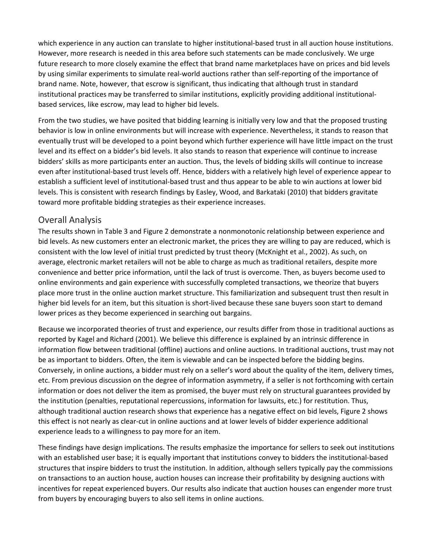which experience in any auction can translate to higher institutional-based trust in all auction house institutions. However, more research is needed in this area before such statements can be made conclusively. We urge future research to more closely examine the effect that brand name marketplaces have on prices and bid levels by using similar experiments to simulate real-world auctions rather than self-reporting of the importance of brand name. Note, however, that escrow is significant, thus indicating that although trust in standard institutional practices may be transferred to similar institutions, explicitly providing additional institutionalbased services, like escrow, may lead to higher bid levels.

From the two studies, we have posited that bidding learning is initially very low and that the proposed trusting behavior is low in online environments but will increase with experience. Nevertheless, it stands to reason that eventually trust will be developed to a point beyond which further experience will have little impact on the trust level and its effect on a bidder's bid levels. It also stands to reason that experience will continue to increase bidders' skills as more participants enter an auction. Thus, the levels of bidding skills will continue to increase even after institutional-based trust levels off. Hence, bidders with a relatively high level of experience appear to establish a sufficient level of institutional-based trust and thus appear to be able to win auctions at lower bid levels. This is consistent with research findings by Easley, Wood, and Barkataki (2010) that bidders gravitate toward more profitable bidding strategies as their experience increases.

#### Overall Analysis

The results shown in Table 3 and Figure 2 demonstrate a nonmonotonic relationship between experience and bid levels. As new customers enter an electronic market, the prices they are willing to pay are reduced, which is consistent with the low level of initial trust predicted by trust theory (McKnight et al., 2002). As such, on average, electronic market retailers will not be able to charge as much as traditional retailers, despite more convenience and better price information, until the lack of trust is overcome. Then, as buyers become used to online environments and gain experience with successfully completed transactions, we theorize that buyers place more trust in the online auction market structure. This familiarization and subsequent trust then result in higher bid levels for an item, but this situation is short-lived because these sane buyers soon start to demand lower prices as they become experienced in searching out bargains.

Because we incorporated theories of trust and experience, our results differ from those in traditional auctions as reported by Kagel and Richard (2001). We believe this difference is explained by an intrinsic difference in information flow between traditional (offline) auctions and online auctions. In traditional auctions, trust may not be as important to bidders. Often, the item is viewable and can be inspected before the bidding begins. Conversely, in online auctions, a bidder must rely on a seller's word about the quality of the item, delivery times, etc. From previous discussion on the degree of information asymmetry, if a seller is not forthcoming with certain information or does not deliver the item as promised, the buyer must rely on structural guarantees provided by the institution (penalties, reputational repercussions, information for lawsuits, etc.) for restitution. Thus, although traditional auction research shows that experience has a negative effect on bid levels, Figure 2 shows this effect is not nearly as clear-cut in online auctions and at lower levels of bidder experience additional experience leads to a willingness to pay more for an item.

These findings have design implications. The results emphasize the importance for sellers to seek out institutions with an established user base; it is equally important that institutions convey to bidders the institutional-based structures that inspire bidders to trust the institution. In addition, although sellers typically pay the commissions on transactions to an auction house, auction houses can increase their profitability by designing auctions with incentives for repeat experienced buyers. Our results also indicate that auction houses can engender more trust from buyers by encouraging buyers to also sell items in online auctions.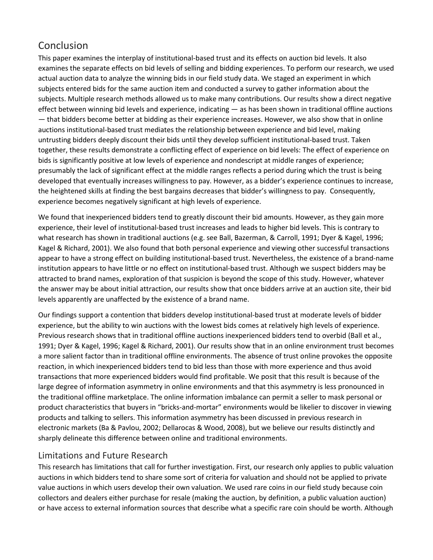# Conclusion

This paper examines the interplay of institutional-based trust and its effects on auction bid levels. It also examines the separate effects on bid levels of selling and bidding experiences. To perform our research, we used actual auction data to analyze the winning bids in our field study data. We staged an experiment in which subjects entered bids for the same auction item and conducted a survey to gather information about the subjects. Multiple research methods allowed us to make many contributions. Our results show a direct negative effect between winning bid levels and experience, indicating — as has been shown in traditional offline auctions — that bidders become better at bidding as their experience increases. However, we also show that in online auctions institutional-based trust mediates the relationship between experience and bid level, making untrusting bidders deeply discount their bids until they develop sufficient institutional-based trust. Taken together, these results demonstrate a conflicting effect of experience on bid levels: The effect of experience on bids is significantly positive at low levels of experience and nondescript at middle ranges of experience; presumably the lack of significant effect at the middle ranges reflects a period during which the trust is being developed that eventually increases willingness to pay. However, as a bidder's experience continues to increase, the heightened skills at finding the best bargains decreases that bidder's willingness to pay. Consequently, experience becomes negatively significant at high levels of experience.

We found that inexperienced bidders tend to greatly discount their bid amounts. However, as they gain more experience, their level of institutional-based trust increases and leads to higher bid levels. This is contrary to what research has shown in traditional auctions (e.g. see Ball, Bazerman, & Carroll, 1991; Dyer & Kagel, 1996; Kagel & Richard, 2001). We also found that both personal experience and viewing other successful transactions appear to have a strong effect on building institutional-based trust. Nevertheless, the existence of a brand-name institution appears to have little or no effect on institutional-based trust. Although we suspect bidders may be attracted to brand names, exploration of that suspicion is beyond the scope of this study. However, whatever the answer may be about initial attraction, our results show that once bidders arrive at an auction site, their bid levels apparently are unaffected by the existence of a brand name.

Our findings support a contention that bidders develop institutional-based trust at moderate levels of bidder experience, but the ability to win auctions with the lowest bids comes at relatively high levels of experience. Previous research shows that in traditional offline auctions inexperienced bidders tend to overbid (Ball et al., 1991; Dyer & Kagel, 1996; Kagel & Richard, 2001). Our results show that in an online environment trust becomes a more salient factor than in traditional offline environments. The absence of trust online provokes the opposite reaction, in which inexperienced bidders tend to bid less than those with more experience and thus avoid transactions that more experienced bidders would find profitable. We posit that this result is because of the large degree of information asymmetry in online environments and that this asymmetry is less pronounced in the traditional offline marketplace. The online information imbalance can permit a seller to mask personal or product characteristics that buyers in "bricks-and-mortar" environments would be likelier to discover in viewing products and talking to sellers. This information asymmetry has been discussed in previous research in electronic markets (Ba & Pavlou, 2002; Dellarocas & Wood, 2008), but we believe our results distinctly and sharply delineate this difference between online and traditional environments.

#### Limitations and Future Research

This research has limitations that call for further investigation. First, our research only applies to public valuation auctions in which bidders tend to share some sort of criteria for valuation and should not be applied to private value auctions in which users develop their own valuation. We used rare coins in our field study because coin collectors and dealers either purchase for resale (making the auction, by definition, a public valuation auction) or have access to external information sources that describe what a specific rare coin should be worth. Although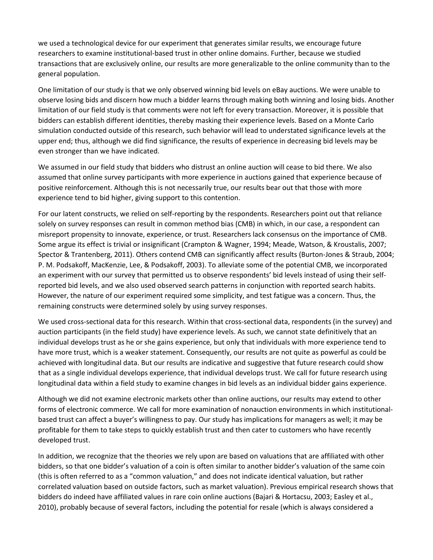we used a technological device for our experiment that generates similar results, we encourage future researchers to examine institutional-based trust in other online domains. Further, because we studied transactions that are exclusively online, our results are more generalizable to the online community than to the general population.

One limitation of our study is that we only observed winning bid levels on eBay auctions. We were unable to observe losing bids and discern how much a bidder learns through making both winning and losing bids. Another limitation of our field study is that comments were not left for every transaction. Moreover, it is possible that bidders can establish different identities, thereby masking their experience levels. Based on a Monte Carlo simulation conducted outside of this research, such behavior will lead to understated significance levels at the upper end; thus, although we did find significance, the results of experience in decreasing bid levels may be even stronger than we have indicated.

We assumed in our field study that bidders who distrust an online auction will cease to bid there. We also assumed that online survey participants with more experience in auctions gained that experience because of positive reinforcement. Although this is not necessarily true, our results bear out that those with more experience tend to bid higher, giving support to this contention.

For our latent constructs, we relied on self-reporting by the respondents. Researchers point out that reliance solely on survey responses can result in common method bias (CMB) in which, in our case, a respondent can misreport propensity to innovate, experience, or trust. Researchers lack consensus on the importance of CMB. Some argue its effect is trivial or insignificant (Crampton & Wagner, 1994; Meade, Watson, & Kroustalis, 2007; Spector & Trantenberg, 2011). Others contend CMB can significantly affect results (Burton-Jones & Straub, 2004; P. M. Podsakoff, MacKenzie, Lee, & Podsakoff, 2003). To alleviate some of the potential CMB, we incorporated an experiment with our survey that permitted us to observe respondents' bid levels instead of using their selfreported bid levels, and we also used observed search patterns in conjunction with reported search habits. However, the nature of our experiment required some simplicity, and test fatigue was a concern. Thus, the remaining constructs were determined solely by using survey responses.

We used cross-sectional data for this research. Within that cross-sectional data, respondents (in the survey) and auction participants (in the field study) have experience levels. As such, we cannot state definitively that an individual develops trust as he or she gains experience, but only that individuals with more experience tend to have more trust, which is a weaker statement. Consequently, our results are not quite as powerful as could be achieved with longitudinal data. But our results are indicative and suggestive that future research could show that as a single individual develops experience, that individual develops trust. We call for future research using longitudinal data within a field study to examine changes in bid levels as an individual bidder gains experience.

Although we did not examine electronic markets other than online auctions, our results may extend to other forms of electronic commerce. We call for more examination of nonauction environments in which institutionalbased trust can affect a buyer's willingness to pay. Our study has implications for managers as well; it may be profitable for them to take steps to quickly establish trust and then cater to customers who have recently developed trust.

In addition, we recognize that the theories we rely upon are based on valuations that are affiliated with other bidders, so that one bidder's valuation of a coin is often similar to another bidder's valuation of the same coin (this is often referred to as a "common valuation," and does not indicate identical valuation, but rather correlated valuation based on outside factors, such as market valuation). Previous empirical research shows that bidders do indeed have affiliated values in rare coin online auctions (Bajari & Hortacsu, 2003; Easley et al., 2010), probably because of several factors, including the potential for resale (which is always considered a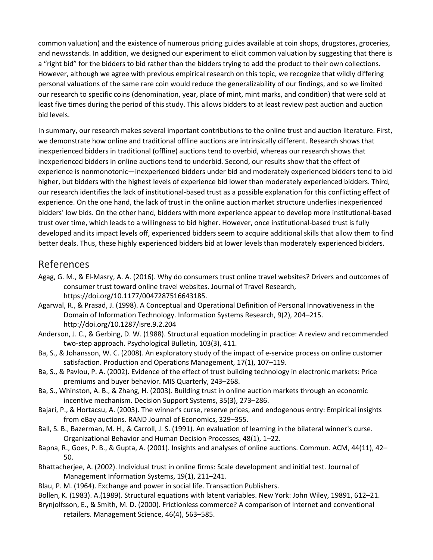common valuation) and the existence of numerous pricing guides available at coin shops, drugstores, groceries, and newsstands. In addition, we designed our experiment to elicit common valuation by suggesting that there is a "right bid" for the bidders to bid rather than the bidders trying to add the product to their own collections. However, although we agree with previous empirical research on this topic, we recognize that wildly differing personal valuations of the same rare coin would reduce the generalizability of our findings, and so we limited our research to specific coins (denomination, year, place of mint, mint marks, and condition) that were sold at least five times during the period of this study. This allows bidders to at least review past auction and auction bid levels.

In summary, our research makes several important contributions to the online trust and auction literature. First, we demonstrate how online and traditional offline auctions are intrinsically different. Research shows that inexperienced bidders in traditional (offline) auctions tend to overbid, whereas our research shows that inexperienced bidders in online auctions tend to underbid. Second, our results show that the effect of experience is nonmonotonic—inexperienced bidders under bid and moderately experienced bidders tend to bid higher, but bidders with the highest levels of experience bid lower than moderately experienced bidders. Third, our research identifies the lack of institutional-based trust as a possible explanation for this conflicting effect of experience. On the one hand, the lack of trust in the online auction market structure underlies inexperienced bidders' low bids. On the other hand, bidders with more experience appear to develop more institutional-based trust over time, which leads to a willingness to bid higher. However, once institutional-based trust is fully developed and its impact levels off, experienced bidders seem to acquire additional skills that allow them to find better deals. Thus, these highly experienced bidders bid at lower levels than moderately experienced bidders.

## References

- Agag, G. M., & El-Masry, A. A. (2016). Why do consumers trust online travel websites? Drivers and outcomes of consumer trust toward online travel websites. Journal of Travel Research, https://doi.org/10.1177/0047287516643185.
- Agarwal, R., & Prasad, J. (1998). A Conceptual and Operational Definition of Personal Innovativeness in the Domain of Information Technology. Information Systems Research, 9(2), 204–215. http://doi.org/10.1287/isre.9.2.204
- Anderson, J. C., & Gerbing, D. W. (1988). Structural equation modeling in practice: A review and recommended two-step approach. Psychological Bulletin, 103(3), 411.
- Ba, S., & Johansson, W. C. (2008). An exploratory study of the impact of e-service process on online customer satisfaction. Production and Operations Management, 17(1), 107–119.
- Ba, S., & Pavlou, P. A. (2002). Evidence of the effect of trust building technology in electronic markets: Price premiums and buyer behavior. MIS Quarterly, 243–268.
- Ba, S., Whinston, A. B., & Zhang, H. (2003). Building trust in online auction markets through an economic incentive mechanism. Decision Support Systems, 35(3), 273–286.
- Bajari, P., & Hortacsu, A. (2003). The winner's curse, reserve prices, and endogenous entry: Empirical insights from eBay auctions. RAND Journal of Economics, 329–355.
- Ball, S. B., Bazerman, M. H., & Carroll, J. S. (1991). An evaluation of learning in the bilateral winner's curse. Organizational Behavior and Human Decision Processes, 48(1), 1–22.
- Bapna, R., Goes, P. B., & Gupta, A. (2001). Insights and analyses of online auctions. Commun. ACM, 44(11), 42– 50.
- Bhattacherjee, A. (2002). Individual trust in online firms: Scale development and initial test. Journal of Management Information Systems, 19(1), 211–241.
- Blau, P. M. (1964). Exchange and power in social life. Transaction Publishers.
- Bollen, K. (1983). A.(1989). Structural equations with latent variables. New York: John Wiley, 19891, 612–21.
- Brynjolfsson, E., & Smith, M. D. (2000). Frictionless commerce? A comparison of Internet and conventional retailers. Management Science, 46(4), 563–585.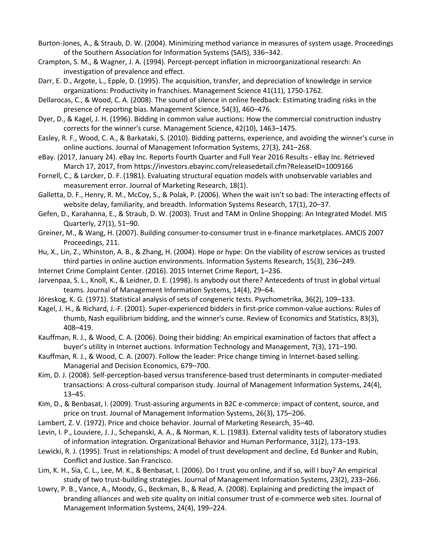Burton-Jones, A., & Straub, D. W. (2004). Minimizing method variance in measures of system usage. Proceedings of the Southern Association for Information Systems (SAIS), 336–342.

Crampton, S. M., & Wagner, J. A. (1994). Percept-percept inflation in microorganizational research: An investigation of prevalence and effect.

Darr, E. D., Argote, L., Epple, D. (1995). The acquisition, transfer, and depreciation of knowledge in service organizations: Productivity in franchises. Management Science 41(11), 1750-1762.

Dellarocas, C., & Wood, C. A. (2008). The sound of silence in online feedback: Estimating trading risks in the presence of reporting bias. Management Science, 54(3), 460–476.

Dyer, D., & Kagel, J. H. (1996). Bidding in common value auctions: How the commercial construction industry corrects for the winner's curse. Management Science, 42(10), 1463–1475.

Easley, R. F., Wood, C. A., & Barkataki, S. (2010). Bidding patterns, experience, and avoiding the winner's curse in online auctions. Journal of Management Information Systems, 27(3), 241–268.

eBay. (2017, January 24). eBay Inc. Reports Fourth Quarter and Full Year 2016 Results - eBay Inc. Retrieved March 17, 2017, from https://investors.ebayinc.com/releasedetail.cfm?ReleaseID=1009166

- Fornell, C., & Larcker, D. F. (1981). Evaluating structural equation models with unobservable variables and measurement error. Journal of Marketing Research, 18(1).
- Galletta, D. F., Henry, R. M., McCoy, S., & Polak, P. (2006). When the wait isn't so bad: The interacting effects of website delay, familiarity, and breadth. Information Systems Research, 17(1), 20–37.

Gefen, D., Karahanna, E., & Straub, D. W. (2003). Trust and TAM in Online Shopping: An Integrated Model. MIS Quarterly, 27(1), 51–90.

Greiner, M., & Wang, H. (2007). Building consumer-to-consumer trust in e-finance marketplaces. AMCIS 2007 Proceedings, 211.

Hu, X., Lin, Z., Whinston, A. B., & Zhang, H. (2004). Hope or hype: On the viability of escrow services as trusted third parties in online auction environments. Information Systems Research, 15(3), 236–249.

Internet Crime Complaint Center. (2016). 2015 Internet Crime Report, 1–236.

Jarvenpaa, S. L., Knoll, K., & Leidner, D. E. (1998). Is anybody out there? Antecedents of trust in global virtual teams. Journal of Management Information Systems, 14(4), 29–64.

Jöreskog, K. G. (1971). Statistical analysis of sets of congeneric tests. Psychometrika, 36(2), 109–133.

Kagel, J. H., & Richard, J.-F. (2001). Super-experienced bidders in first-price common-value auctions: Rules of thumb, Nash equilibrium bidding, and the winner's curse. Review of Economics and Statistics, 83(3), 408–419.

Kauffman, R. J., & Wood, C. A. (2006). Doing their bidding: An empirical examination of factors that affect a buyer's utility in Internet auctions. Information Technology and Management, 7(3), 171–190.

Kauffman, R. J., & Wood, C. A. (2007). Follow the leader: Price change timing in Internet-based selling. Managerial and Decision Economics, 679–700.

Kim, D. J. (2008). Self-perception-based versus transference-based trust determinants in computer-mediated transactions: A cross-cultural comparison study. Journal of Management Information Systems, 24(4), 13–45.

Kim, D., & Benbasat, I. (2009). Trust-assuring arguments in B2C e-commerce: impact of content, source, and price on trust. Journal of Management Information Systems, 26(3), 175–206.

Lambert, Z. V. (1972). Price and choice behavior. Journal of Marketing Research, 35–40.

Levin, I. P., Louviere, J. J., Schepanski, A. A., & Norman, K. L. (1983). External validity tests of laboratory studies of information integration. Organizational Behavior and Human Performance, 31(2), 173–193.

Lewicki, R. J. (1995). Trust in relationships: A model of trust development and decline, Ed Bunker and Rubin, Conflict and Justice. San Francisco.

Lim, K. H., Sia, C. L., Lee, M. K., & Benbasat, I. (2006). Do I trust you online, and if so, will I buy? An empirical study of two trust-building strategies. Journal of Management Information Systems, 23(2), 233–266.

Lowry, P. B., Vance, A., Moody, G., Beckman, B., & Read, A. (2008). Explaining and predicting the impact of branding alliances and web site quality on initial consumer trust of e-commerce web sites. Journal of Management Information Systems, 24(4), 199–224.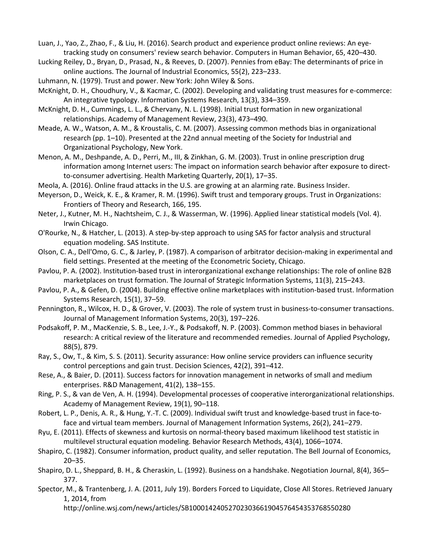Luan, J., Yao, Z., Zhao, F., & Liu, H. (2016). Search product and experience product online reviews: An eyetracking study on consumers' review search behavior. Computers in Human Behavior, 65, 420–430.

Lucking Reiley, D., Bryan, D., Prasad, N., & Reeves, D. (2007). Pennies from eBay: The determinants of price in online auctions. The Journal of Industrial Economics, 55(2), 223–233.

Luhmann, N. (1979). Trust and power. New York: John Wiley & Sons.

- McKnight, D. H., Choudhury, V., & Kacmar, C. (2002). Developing and validating trust measures for e-commerce: An integrative typology. Information Systems Research, 13(3), 334–359.
- McKnight, D. H., Cummings, L. L., & Chervany, N. L. (1998). Initial trust formation in new organizational relationships. Academy of Management Review, 23(3), 473–490.
- Meade, A. W., Watson, A. M., & Kroustalis, C. M. (2007). Assessing common methods bias in organizational research (pp. 1–10). Presented at the 22nd annual meeting of the Society for Industrial and Organizational Psychology, New York.
- Menon, A. M., Deshpande, A. D., Perri, M., III, & Zinkhan, G. M. (2003). Trust in online prescription drug information among Internet users: The impact on information search behavior after exposure to directto-consumer advertising. Health Marketing Quarterly, 20(1), 17–35.
- Meola, A. (2016). Online fraud attacks in the U.S. are growing at an alarming rate. Business Insider.
- Meyerson, D., Weick, K. E., & Kramer, R. M. (1996). Swift trust and temporary groups. Trust in Organizations: Frontiers of Theory and Research, 166, 195.
- Neter, J., Kutner, M. H., Nachtsheim, C. J., & Wasserman, W. (1996). Applied linear statistical models (Vol. 4). Irwin Chicago.
- O'Rourke, N., & Hatcher, L. (2013). A step-by-step approach to using SAS for factor analysis and structural equation modeling. SAS Institute.
- Olson, C. A., Dell'Omo, G. C., & Jarley, P. (1987). A comparison of arbitrator decision-making in experimental and field settings. Presented at the meeting of the Econometric Society, Chicago.
- Pavlou, P. A. (2002). Institution-based trust in interorganizational exchange relationships: The role of online B2B marketplaces on trust formation. The Journal of Strategic Information Systems, 11(3), 215–243.
- Pavlou, P. A., & Gefen, D. (2004). Building effective online marketplaces with institution-based trust. Information Systems Research, 15(1), 37–59.
- Pennington, R., Wilcox, H. D., & Grover, V. (2003). The role of system trust in business-to-consumer transactions. Journal of Management Information Systems, 20(3), 197–226.
- Podsakoff, P. M., MacKenzie, S. B., Lee, J.-Y., & Podsakoff, N. P. (2003). Common method biases in behavioral research: A critical review of the literature and recommended remedies. Journal of Applied Psychology, 88(5), 879.
- Ray, S., Ow, T., & Kim, S. S. (2011). Security assurance: How online service providers can influence security control perceptions and gain trust. Decision Sciences, 42(2), 391–412.
- Rese, A., & Baier, D. (2011). Success factors for innovation management in networks of small and medium enterprises. R&D Management, 41(2), 138–155.
- Ring, P. S., & van de Ven, A. H. (1994). Developmental processes of cooperative interorganizational relationships. Academy of Management Review, 19(1), 90–118.
- Robert, L. P., Denis, A. R., & Hung, Y.-T. C. (2009). Individual swift trust and knowledge-based trust in face-toface and virtual team members. Journal of Management Information Systems, 26(2), 241–279.
- Ryu, E. (2011). Effects of skewness and kurtosis on normal-theory based maximum likelihood test statistic in multilevel structural equation modeling. Behavior Research Methods, 43(4), 1066–1074.
- Shapiro, C. (1982). Consumer information, product quality, and seller reputation. The Bell Journal of Economics, 20–35.
- Shapiro, D. L., Sheppard, B. H., & Cheraskin, L. (1992). Business on a handshake. Negotiation Journal, 8(4), 365– 377.
- Spector, M., & Trantenberg, J. A. (2011, July 19). Borders Forced to Liquidate, Close All Stores. Retrieved January 1, 2014, from

http://online.wsj.com/news/articles/SB10001424052702303661904576454353768550280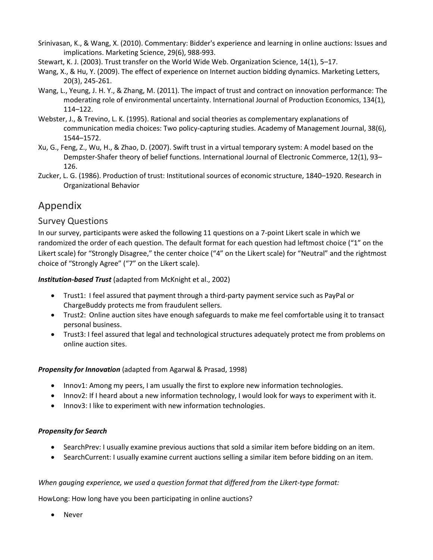- Srinivasan, K., & Wang, X. (2010). Commentary: Bidder's experience and learning in online auctions: Issues and implications. Marketing Science, 29(6), 988-993.
- Stewart, K. J. (2003). Trust transfer on the World Wide Web. Organization Science, 14(1), 5–17.
- Wang, X., & Hu, Y. (2009). The effect of experience on Internet auction bidding dynamics. Marketing Letters, 20(3), 245-261.
- Wang, L., Yeung, J. H. Y., & Zhang, M. (2011). The impact of trust and contract on innovation performance: The moderating role of environmental uncertainty. International Journal of Production Economics, 134(1), 114–122.
- Webster, J., & Trevino, L. K. (1995). Rational and social theories as complementary explanations of communication media choices: Two policy-capturing studies. Academy of Management Journal, 38(6), 1544–1572.
- Xu, G., Feng, Z., Wu, H., & Zhao, D. (2007). Swift trust in a virtual temporary system: A model based on the Dempster-Shafer theory of belief functions. International Journal of Electronic Commerce, 12(1), 93– 126.
- Zucker, L. G. (1986). Production of trust: Institutional sources of economic structure, 1840–1920. Research in Organizational Behavior

## Appendix

#### Survey Questions

In our survey, participants were asked the following 11 questions on a 7-point Likert scale in which we randomized the order of each question. The default format for each question had leftmost choice ("1" on the Likert scale) for "Strongly Disagree," the center choice ("4" on the Likert scale) for "Neutral" and the rightmost choice of "Strongly Agree" ("7" on the Likert scale).

#### *Institution-based Trust* (adapted from McKnight et al., 2002)

- Trust1: I feel assured that payment through a third-party payment service such as PayPal or ChargeBuddy protects me from fraudulent sellers.
- Trust2: Online auction sites have enough safeguards to make me feel comfortable using it to transact personal business.
- Trust3: I feel assured that legal and technological structures adequately protect me from problems on online auction sites.

#### *Propensity for Innovation* (adapted from Agarwal & Prasad, 1998)

- Innov1: Among my peers, I am usually the first to explore new information technologies.
- Innov2: If I heard about a new information technology, I would look for ways to experiment with it.
- Innov3: I like to experiment with new information technologies.

#### *Propensity for Search*

- SearchPrev: I usually examine previous auctions that sold a similar item before bidding on an item.
- SearchCurrent: I usually examine current auctions selling a similar item before bidding on an item.

#### *When gauging experience, we used a question format that differed from the Likert-type format:*

HowLong: How long have you been participating in online auctions?

• Never